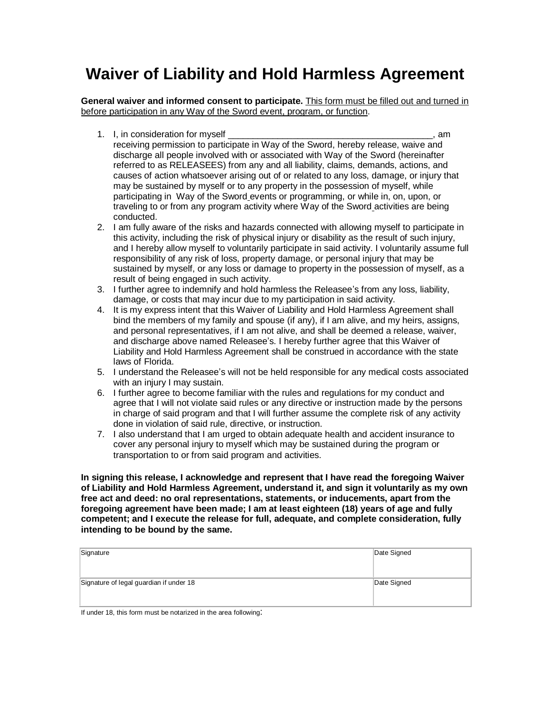## **Waiver of Liability and Hold Harmless Agreement**

**General waiver and informed consent to participate.** This form must be filled out and turned in before participation in any Way of the Sword event, program, or function.

- 1. I, in consideration for myself **with a set of the set of the set of the set of the set of the set of the set o** receiving permission to participate in Way of the Sword, hereby release, waive and discharge all people involved with or associated with Way of the Sword (hereinafter referred to as RELEASEES) from any and all liability, claims, demands, actions, and causes of action whatsoever arising out of or related to any loss, damage, or injury that may be sustained by myself or to any property in the possession of myself, while participating in Way of the Sword events or programming, or while in, on, upon, or traveling to or from any program activity where Way of the Sword activities are being conducted.
- 2. I am fully aware of the risks and hazards connected with allowing myself to participate in this activity, including the risk of physical injury or disability as the result of such injury, and I hereby allow myself to voluntarily participate in said activity. I voluntarily assume full responsibility of any risk of loss, property damage, or personal injury that may be sustained by myself, or any loss or damage to property in the possession of myself, as a result of being engaged in such activity.
- 3. I further agree to indemnify and hold harmless the Releasee's from any loss, liability, damage, or costs that may incur due to my participation in said activity.
- 4. It is my express intent that this Waiver of Liability and Hold Harmless Agreement shall bind the members of my family and spouse (if any), if I am alive, and my heirs, assigns, and personal representatives, if I am not alive, and shall be deemed a release, waiver, and discharge above named Releasee's. I hereby further agree that this Waiver of Liability and Hold Harmless Agreement shall be construed in accordance with the state laws of Florida.
- 5. I understand the Releasee's will not be held responsible for any medical costs associated with an injury I may sustain.
- 6. I further agree to become familiar with the rules and regulations for my conduct and agree that I will not violate said rules or any directive or instruction made by the persons in charge of said program and that I will further assume the complete risk of any activity done in violation of said rule, directive, or instruction.
- 7. I also understand that I am urged to obtain adequate health and accident insurance to cover any personal injury to myself which may be sustained during the program or transportation to or from said program and activities.

**In signing this release, I acknowledge and represent that I have read the foregoing Waiver of Liability and Hold Harmless Agreement, understand it, and sign it voluntarily as my own free act and deed: no oral representations, statements, or inducements, apart from the foregoing agreement have been made; I am at least eighteen (18) years of age and fully competent; and I execute the release for full, adequate, and complete consideration, fully intending to be bound by the same.** 

| Signature                               | Date Signed |
|-----------------------------------------|-------------|
| Signature of legal guardian if under 18 | Date Signed |

If under 18, this form must be notarized in the area following: